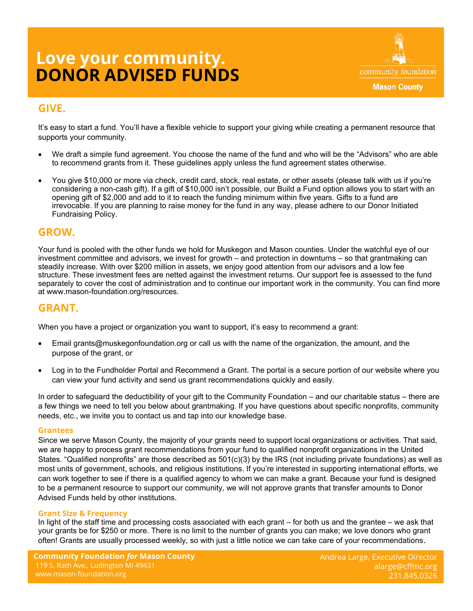# **DONOR ADVISED FUNDS Love your community.**



# **GIVE.**

It's easy to start a fund. You'll have a flexible vehicle to support your giving while creating a permanent resource that supports your community.

- We draft a simple fund agreement. You choose the name of the fund and who will be the "Advisors" who are able to recommend grants from it. These guidelines apply unless the fund agreement states otherwise.
- You give \$10,000 or more via check, credit card, stock, real estate, or other assets (please talk with us if you're considering a non-cash gift). If a gift of \$10,000 isn't possible, our Build a Fund option allows you to start with an opening gift of \$2,000 and add to it to reach the funding minimum within five years. Gifts to a fund are irrevocable. If you are planning to raise money for the fund in any way, please adhere to our Donor Initiated Fundraising Policy.

### **GROW.**

Your fund is pooled with the other funds we hold for Muskegon and Mason counties. Under the watchful eye of our investment committee and advisors, we invest for growth – and protection in downturns – so that grantmaking can steadily increase. With over \$200 million in assets, we enjoy good attention from our advisors and a low fee structure. These investment fees are netted against the investment returns. Our support fee is assessed to the fund separately to cover the cost of administration and to continue our important work in the community. You can find more at www.mason-foundation.org/resources.

## **GRANT.**

When you have a project or organization you want to support, it's easy to recommend a grant:

- Email grants@muskegonfoundation.org or call us with the name of the organization, the amount, and the purpose of the grant, or
- Log in to the Fundholder Portal and Recommend a Grant. The portal is a secure portion of our website where you can view your fund activity and send us grant recommendations quickly and easily.

In order to safeguard the deductibility of your gift to the Community Foundation – and our charitable status – there are a few things we need to tell you below about grantmaking. If you have questions about specific nonprofits, community needs, etc., we invite you to contact us and tap into our knowledge base.

#### **Grantees**

Since we serve Mason County, the majority of your grants need to support local organizations or activities. That said, we are happy to process grant recommendations from your fund to qualified nonprofit organizations in the United States. "Qualified nonprofits" are those described as  $501(c)(3)$  by the IRS (not including private foundations) as well as most units of government, schools, and religious institutions. If you're interested in supporting international efforts, we can work together to see if there is a qualified agency to whom we can make a grant. Because your fund is designed to be a permanent resource to support our community, we will not approve grants that transfer amounts to Donor Advised Funds held by other institutions.

#### **Grant Size & Frequency**

In light of the staff time and processing costs associated with each grant – for both us and the grantee – we ask that your grants be for \$250 or more. There is no limit to the number of grants you can make; we love donors who grant often! Grants are usually processed weekly, so with just a little notice we can take care of your recommendations.